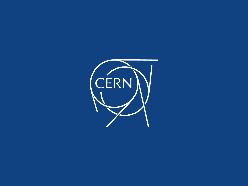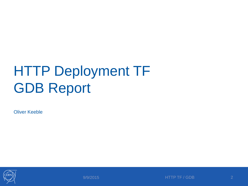#### HTTP Deployment TF GDB Report

Oliver Keeble



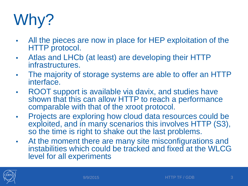# Why?

- All the pieces are now in place for HEP exploitation of the HTTP protocol.
- Atlas and LHCb (at least) are developing their HTTP infrastructures.
- The majority of storage systems are able to offer an HTTP interface.
- ROOT support is available via davix, and studies have shown that this can allow HTTP to reach a performance comparable with that of the xroot protocol.
- Projects are exploring how cloud data resources could be exploited, and in many scenarios this involves HTTP (S3), so the time is right to shake out the last problems.
- At the moment there are many site misconfigurations and instabilities which could be tracked and fixed at the WLCG level for all experiments

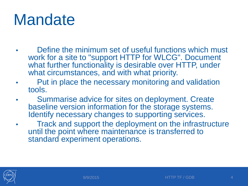#### **Mandate**

- Define the minimum set of useful functions which must work for a site to "support HTTP for WLCG". Document what further functionality is desirable over HTTP, under what circumstances, and with what priority.
- Put in place the necessary monitoring and validation tools.
- Summarise advice for sites on deployment. Create baseline version information for the storage systems. Identify necessary changes to supporting services.
- Track and support the deployment on the infrastructure until the point where maintenance is transferred to standard experiment operations.

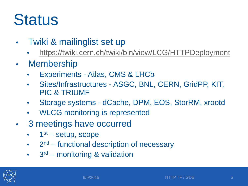#### **Status**

- Twiki & mailinglist set up
	- <https://twiki.cern.ch/twiki/bin/view/LCG/HTTPDeployment>
- Membership
	- Experiments Atlas, CMS & LHCb
	- Sites/Infrastructures ASGC, BNL, CERN, GridPP, KIT, PIC & TRIUMF
	- Storage systems dCache, DPM, EOS, StorRM, xrootd
	- WLCG monitoring is represented
- 3 meetings have occurred
	- $1<sup>st</sup>$  setup, scope
	- $\bullet$  2<sup>nd</sup> functional description of necessary
	- $\bullet$  3<sup>rd</sup> monitoring & validation

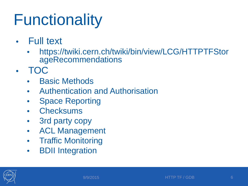## **Functionality**

- Full text
	- https://twiki.cern.ch/twiki/bin/view/LCG/HTTPTFStor ageRecommendations
- TOC
	- **Basic Methods**
	- Authentication and Authorisation
	- Space Reporting
	- Checksums
	- 3rd party copy
	- ACL Management
	- Traffic Monitoring
	- BDII Integration

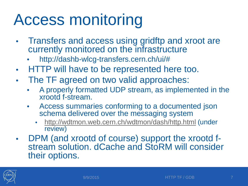### Access monitoring

- Transfers and access using gridftp and xroot are currently monitored on the infrastructure
	- http://dashb-wlcg-transfers.cern.ch/ui/#
- HTTP will have to be represented here too.
- The TF agreed on two valid approaches:
	- A properly formatted UDP stream, as implemented in the xrootd f-stream.
	- Access summaries conforming to a documented json schema delivered over the messaging system
		- <http://wdtmon.web.cern.ch/wdtmon/dash/http.html> (under review)
- DPM (and xrootd of course) support the xrootd f- stream solution. dCache and StoRM will consider their options.

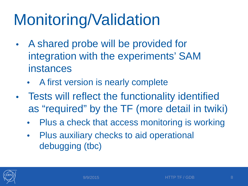## Monitoring/Validation

- A shared probe will be provided for integration with the experiments' SAM instances
	- A first version is nearly complete
- Tests will reflect the functionality identified as "required" by the TF (more detail in twiki)
	- Plus a check that access monitoring is working
	- Plus auxiliary checks to aid operational debugging (tbc)